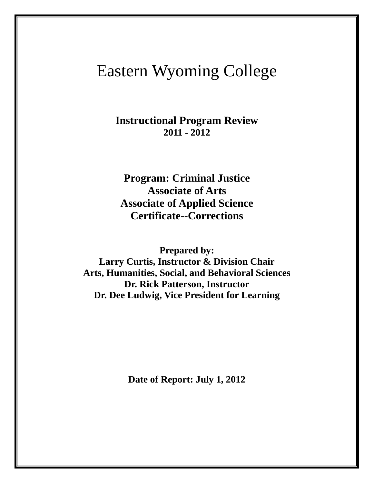# Eastern Wyoming College

**Instructional Program Review 2011 - 2012**

**Program: Criminal Justice Associate of Arts Associate of Applied Science Certificate--Corrections**

**Prepared by:** 

**Larry Curtis, Instructor & Division Chair Arts, Humanities, Social, and Behavioral Sciences Dr. Rick Patterson, Instructor Dr. Dee Ludwig, Vice President for Learning**

**Date of Report: July 1, 2012**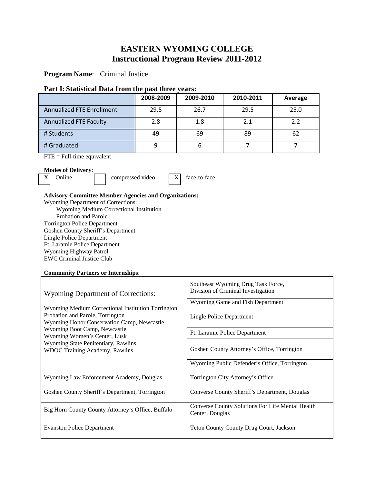## **EASTERN WYOMING COLLEGE Instructional Program Review 2011-2012**

**Program Name**: Criminal Justice

## **Part I: Statistical Data from the past three years:**

|                                  | 2008-2009 | 2009-2010 | 2010-2011 | Average |
|----------------------------------|-----------|-----------|-----------|---------|
| <b>Annualized FTE Enrollment</b> | 29.5      | 26.7      | 29.5      | 25.0    |
| <b>Annualized FTE Faculty</b>    | 2.8       | 1.8       | 2.1       | 2.2     |
| # Students                       | 49        | 69        | 89        | 62      |
| # Graduated                      |           |           |           |         |

FTE = Full-time equivalent

## **Modes of Delivery**:

 $\overline{X}$  Online compressed video  $\overline{X}$  face-to-face

#### **Advisory Committee Member Agencies and Organizations:**

Wyoming Department of Corrections:

 Wyoming Medium Correctional Institution Probation and Parole Torrington Police Department

Goshen County Sheriff's Department

Lingle Police Department

Ft. Laramie Police Department

Wyoming Highway Patrol

EWC Criminal Justice Club

## **Community Partners or Internships**:

| <b>Wyoming Department of Corrections:</b>                                                                                                                                                                                                                                            | Southeast Wyoming Drug Task Force,<br>Division of Criminal Investigation |  |  |
|--------------------------------------------------------------------------------------------------------------------------------------------------------------------------------------------------------------------------------------------------------------------------------------|--------------------------------------------------------------------------|--|--|
| Wyoming Medium Correctional Institution Torrington<br>Probation and Parole, Torrington<br>Wyoming Honor Conservation Camp, Newcastle<br>Wyoming Boot Camp, Newcastle<br>Wyoming Women's Center, Lusk<br>Wyoming State Penitentiary, Rawlins<br><b>WDOC Training Academy, Rawlins</b> | Wyoming Game and Fish Department                                         |  |  |
|                                                                                                                                                                                                                                                                                      | Lingle Police Department                                                 |  |  |
|                                                                                                                                                                                                                                                                                      | Ft. Laramie Police Department                                            |  |  |
|                                                                                                                                                                                                                                                                                      | Goshen County Attorney's Office, Torrington                              |  |  |
|                                                                                                                                                                                                                                                                                      | Wyoming Public Defender's Office, Torrington                             |  |  |
| Wyoming Law Enforcement Academy, Douglas                                                                                                                                                                                                                                             | Torrington City Attorney's Office                                        |  |  |
| Goshen County Sheriff's Department, Torrington                                                                                                                                                                                                                                       | Converse County Sheriff's Department, Douglas                            |  |  |
| Big Horn County County Attorney's Office, Buffalo                                                                                                                                                                                                                                    | Converse County Solutions For Life Mental Health<br>Center, Douglas      |  |  |
| <b>Evanston Police Department</b>                                                                                                                                                                                                                                                    | Teton County County Drug Court, Jackson                                  |  |  |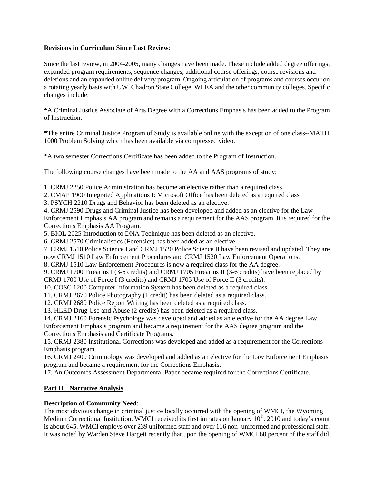## **Revisions in Curriculum Since Last Review**:

Since the last review, in 2004-2005, many changes have been made. These include added degree offerings, expanded program requirements, sequence changes, additional course offerings, course revisions and deletions and an expanded online delivery program. Ongoing articulation of programs and courses occur on a rotating yearly basis with UW, Chadron State College, WLEA and the other community colleges. Specific changes include:

\*A Criminal Justice Associate of Arts Degree with a Corrections Emphasis has been added to the Program of Instruction.

\*The entire Criminal Justice Program of Study is available online with the exception of one class--MATH 1000 Problem Solving which has been available via compressed video.

\*A two semester Corrections Certificate has been added to the Program of Instruction.

The following course changes have been made to the AA and AAS programs of study:

1. CRMJ 2250 Police Administration has become an elective rather than a required class.

2. CMAP 1900 Integrated Applications I: Microsoft Office has been deleted as a required class

3. PSYCH 2210 Drugs and Behavior has been deleted as an elective.

4. CRMJ 2590 Drugs and Criminal Justice has been developed and added as an elective for the Law Enforcement Emphasis AA program and remains a requirement for the AAS program. It is required for the Corrections Emphasis AA Program.

5. BIOL 2025 Introduction to DNA Technique has been deleted as an elective.

6. CRMJ 2570 Criminalistics (Forensics) has been added as an elective.

7. CRMJ 1510 Police Science I and CRMJ 1520 Police Science II have been revised and updated. They are now CRMJ 1510 Law Enforcement Procedures and CRMJ 1520 Law Enforcement Operations.

8. CRMJ 1510 Law Enforcement Procedures is now a required class for the AA degree.

9. CRMJ 1700 Firearms I (3-6 credits) and CRMJ 1705 Firearms II (3-6 credits) have been replaced by CRMJ 1700 Use of Force I (3 credits) and CRMJ 1705 Use of Force II (3 credits).

10. COSC 1200 Computer Information System has been deleted as a required class.

11. CRMJ 2670 Police Photography (1 credit) has been deleted as a required class.

12. CRMJ 2680 Police Report Writing has been deleted as a required class.

13. HLED Drug Use and Abuse (2 credits) has been deleted as a required class.

14. CRMJ 2160 Forensic Psychology was developed and added as an elective for the AA degree Law

Enforcement Emphasis program and became a requirement for the AAS degree program and the Corrections Emphasis and Certificate Programs.

15. CRMJ 2380 Institutional Corrections was developed and added as a requirement for the Corrections Emphasis program.

16. CRMJ 2400 Criminology was developed and added as an elective for the Law Enforcement Emphasis program and became a requirement for the Corrections Emphasis.

17. An Outcomes Assessment Departmental Paper became required for the Corrections Certificate.

## **Part II Narrative Analysis**

## **Description of Community Need**:

The most obvious change in criminal justice locally occurred with the opening of WMCI, the Wyoming Medium Correctional Institution. WMCI received its first inmates on January 10<sup>th</sup>, 2010 and today's count is about 645. WMCI employs over 239 uniformed staff and over 116 non- uniformed and professional staff. It was noted by Warden Steve Hargett recently that upon the opening of WMCI 60 percent of the staff did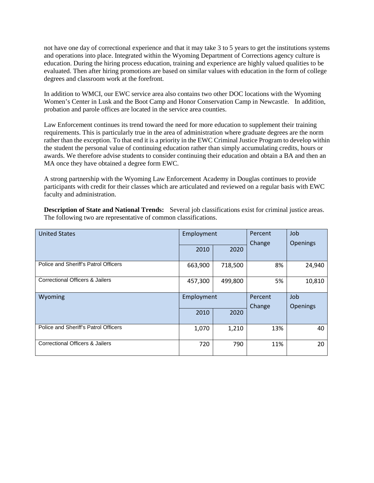not have one day of correctional experience and that it may take 3 to 5 years to get the institutions systems and operations into place. Integrated within the Wyoming Department of Corrections agency culture is education. During the hiring process education, training and experience are highly valued qualities to be evaluated. Then after hiring promotions are based on similar values with education in the form of college degrees and classroom work at the forefront.

In addition to WMCI, our EWC service area also contains two other DOC locations with the Wyoming Women's Center in Lusk and the Boot Camp and Honor Conservation Camp in Newcastle. In addition, probation and parole offices are located in the service area counties.

Law Enforcement continues its trend toward the need for more education to supplement their training requirements. This is particularly true in the area of administration where graduate degrees are the norm rather than the exception. To that end it is a priority in the EWC Criminal Justice Program to develop within the student the personal value of continuing education rather than simply accumulating credits, hours or awards. We therefore advise students to consider continuing their education and obtain a BA and then an MA once they have obtained a degree form EWC.

A strong partnership with the Wyoming Law Enforcement Academy in Douglas continues to provide participants with credit for their classes which are articulated and reviewed on a regular basis with EWC faculty and administration.

**Description of State and National Trends:** Several job classifications exist for criminal justice areas. The following two are representative of common classifications.

| <b>United States</b>                 | Employment |         | Percent<br>Change | Job<br><b>Openings</b> |
|--------------------------------------|------------|---------|-------------------|------------------------|
|                                      | 2010       | 2020    |                   |                        |
| Police and Sheriff's Patrol Officers | 663,900    | 718,500 | 8%                | 24,940                 |
| Correctional Officers & Jailers      | 457,300    | 499,800 | 5%                | 10,810                 |
|                                      | Employment |         |                   |                        |
| Wyoming                              |            |         | Percent           | Job                    |
|                                      | 2010       | 2020    | Change            | Openings               |
| Police and Sheriff's Patrol Officers | 1,070      | 1,210   | 13%               | 40                     |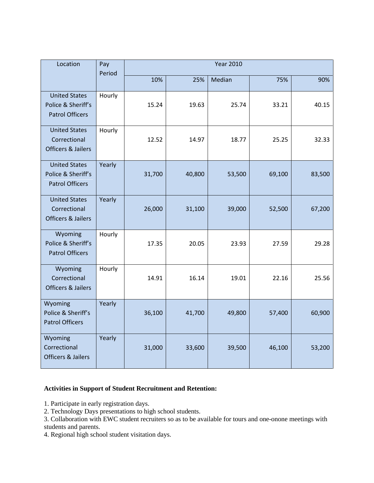| Location                                                              | Pay<br>Period | <b>Year 2010</b> |        |        |        |        |
|-----------------------------------------------------------------------|---------------|------------------|--------|--------|--------|--------|
|                                                                       |               | 10%              | 25%    | Median | 75%    | 90%    |
| <b>United States</b><br>Police & Sheriff's<br><b>Patrol Officers</b>  | Hourly        | 15.24            | 19.63  | 25.74  | 33.21  | 40.15  |
| <b>United States</b><br>Correctional<br><b>Officers &amp; Jailers</b> | Hourly        | 12.52            | 14.97  | 18.77  | 25.25  | 32.33  |
| <b>United States</b><br>Police & Sheriff's<br><b>Patrol Officers</b>  | Yearly        | 31,700           | 40,800 | 53,500 | 69,100 | 83,500 |
| <b>United States</b><br>Correctional<br><b>Officers &amp; Jailers</b> | Yearly        | 26,000           | 31,100 | 39,000 | 52,500 | 67,200 |
| Wyoming<br>Police & Sheriff's<br><b>Patrol Officers</b>               | Hourly        | 17.35            | 20.05  | 23.93  | 27.59  | 29.28  |
| Wyoming<br>Correctional<br><b>Officers &amp; Jailers</b>              | Hourly        | 14.91            | 16.14  | 19.01  | 22.16  | 25.56  |
| Wyoming<br>Police & Sheriff's<br><b>Patrol Officers</b>               | Yearly        | 36,100           | 41,700 | 49,800 | 57,400 | 60,900 |
| Wyoming<br>Correctional<br><b>Officers &amp; Jailers</b>              | Yearly        | 31,000           | 33,600 | 39,500 | 46,100 | 53,200 |

## **Activities in Support of Student Recruitment and Retention:**

- 1. Participate in early registration days.
- 2. Technology Days presentations to high school students.
- 3. Collaboration with EWC student recruiters so as to be available for tours and one-onone meetings with students and parents.
- 4. Regional high school student visitation days.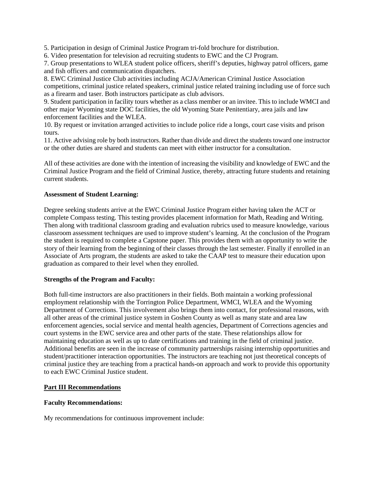5. Participation in design of Criminal Justice Program tri-fold brochure for distribution.

6. Video presentation for television ad recruiting students to EWC and the CJ Program.

7. Group presentations to WLEA student police officers, sheriff's deputies, highway patrol officers, game and fish officers and communication dispatchers.

8. EWC Criminal Justice Club activities including ACJA/American Criminal Justice Association competitions, criminal justice related speakers, criminal justice related training including use of force such as a firearm and taser. Both instructors participate as club advisors.

9. Student participation in facility tours whether as a class member or an invitee. This to include WMCI and other major Wyoming state DOC facilities, the old Wyoming State Penitentiary, area jails and law enforcement facilities and the WLEA.

10. By request or invitation arranged activities to include police ride a longs, court case visits and prison tours.

11. Active advising role by both instructors. Rather than divide and direct the students toward one instructor or the other duties are shared and students can meet with either instructor for a consultation.

All of these activities are done with the intention of increasing the visibility and knowledge of EWC and the Criminal Justice Program and the field of Criminal Justice, thereby, attracting future students and retaining current students.

## **Assessment of Student Learning:**

Degree seeking students arrive at the EWC Criminal Justice Program either having taken the ACT or complete Compass testing. This testing provides placement information for Math, Reading and Writing. Then along with traditional classroom grading and evaluation rubrics used to measure knowledge, various classroom assessment techniques are used to improve student's learning. At the conclusion of the Program the student is required to complete a Capstone paper. This provides them with an opportunity to write the story of their learning from the beginning of their classes through the last semester. Finally if enrolled in an Associate of Arts program, the students are asked to take the CAAP test to measure their education upon graduation as compared to their level when they enrolled.

## **Strengths of the Program and Faculty:**

Both full-time instructors are also practitioners in their fields. Both maintain a working professional employment relationship with the Torrington Police Department, WMCI, WLEA and the Wyoming Department of Corrections. This involvement also brings them into contact, for professional reasons, with all other areas of the criminal justice system in Goshen County as well as many state and area law enforcement agencies, social service and mental health agencies, Department of Corrections agencies and court systems in the EWC service area and other parts of the state. These relationships allow for maintaining education as well as up to date certifications and training in the field of criminal justice. Additional benefits are seen in the increase of community partnerships raising internship opportunities and student/practitioner interaction opportunities. The instructors are teaching not just theoretical concepts of criminal justice they are teaching from a practical hands-on approach and work to provide this opportunity to each EWC Criminal Justice student.

## **Part III Recommendations**

## **Faculty Recommendations:**

My recommendations for continuous improvement include: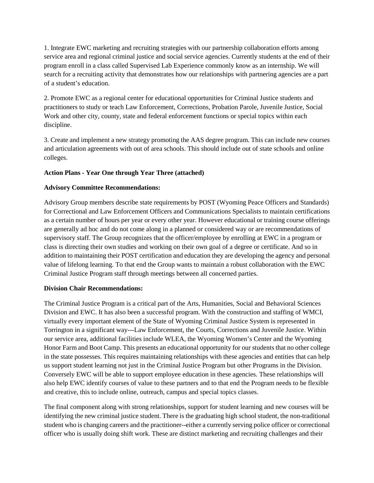1. Integrate EWC marketing and recruiting strategies with our partnership collaboration efforts among service area and regional criminal justice and social service agencies. Currently students at the end of their program enroll in a class called Supervised Lab Experience commonly know as an internship. We will search for a recruiting activity that demonstrates how our relationships with partnering agencies are a part of a student's education.

2. Promote EWC as a regional center for educational opportunities for Criminal Justice students and practitioners to study or teach Law Enforcement, Corrections, Probation Parole, Juvenile Justice, Social Work and other city, county, state and federal enforcement functions or special topics within each discipline.

3. Create and implement a new strategy promoting the AAS degree program. This can include new courses and articulation agreements with out of area schools. This should include out of state schools and online colleges.

## **Action Plans - Year One through Year Three (attached)**

## **Advisory Committee Recommendations:**

Advisory Group members describe state requirements by POST (Wyoming Peace Officers and Standards) for Correctional and Law Enforcement Officers and Communications Specialists to maintain certifications as a certain number of hours per year or every other year. However educational or training course offerings are generally ad hoc and do not come along in a planned or considered way or are recommendations of supervisory staff. The Group recognizes that the officer/employee by enrolling at EWC in a program or class is directing their own studies and working on their own goal of a degree or certificate. And so in addition to maintaining their POST certification and education they are developing the agency and personal value of lifelong learning. To that end the Group wants to maintain a robust collaboration with the EWC Criminal Justice Program staff through meetings between all concerned parties.

## **Division Chair Recommendations:**

The Criminal Justice Program is a critical part of the Arts, Humanities, Social and Behavioral Sciences Division and EWC. It has also been a successful program. With the construction and staffing of WMCI, virtually every important element of the State of Wyoming Criminal Justice System is represented in Torrington in a significant way---Law Enforcement, the Courts, Corrections and Juvenile Justice. Within our service area, additional facilities include WLEA, the Wyoming Women's Center and the Wyoming Honor Farm and Boot Camp. This presents an educational opportunity for our students that no other college in the state possesses. This requires maintaining relationships with these agencies and entities that can help us support student learning not just in the Criminal Justice Program but other Programs in the Division. Conversely EWC will be able to support employee education in these agencies. These relationships will also help EWC identify courses of value to these partners and to that end the Program needs to be flexible and creative, this to include online, outreach, campus and special topics classes.

The final component along with strong relationships, support for student learning and new courses will be identifying the new criminal justice student. There is the graduating high school student, the non-traditional student who is changing careers and the practitioner--either a currently serving police officer or correctional officer who is usually doing shift work. These are distinct marketing and recruiting challenges and their